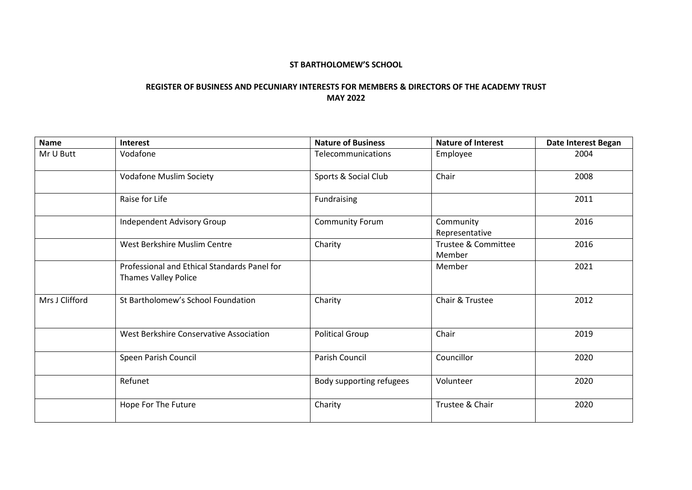## **ST BARTHOLOMEW'S SCHOOL**

## **REGISTER OF BUSINESS AND PECUNIARY INTERESTS FOR MEMBERS & DIRECTORS OF THE ACADEMY TRUST MAY 2022**

| <b>Name</b>    | Interest                                                                    | <b>Nature of Business</b> | <b>Nature of Interest</b>     | Date Interest Began |
|----------------|-----------------------------------------------------------------------------|---------------------------|-------------------------------|---------------------|
| Mr U Butt      | Vodafone                                                                    | Telecommunications        | Employee                      | 2004                |
|                | <b>Vodafone Muslim Society</b>                                              | Sports & Social Club      | Chair                         | 2008                |
|                | Raise for Life                                                              | Fundraising               |                               | 2011                |
|                | Independent Advisory Group                                                  | <b>Community Forum</b>    | Community<br>Representative   | 2016                |
|                | West Berkshire Muslim Centre                                                | Charity                   | Trustee & Committee<br>Member | 2016                |
|                | Professional and Ethical Standards Panel for<br><b>Thames Valley Police</b> |                           | Member                        | 2021                |
| Mrs J Clifford | St Bartholomew's School Foundation                                          | Charity                   | Chair & Trustee               | 2012                |
|                | West Berkshire Conservative Association                                     | <b>Political Group</b>    | Chair                         | 2019                |
|                | Speen Parish Council                                                        | Parish Council            | Councillor                    | 2020                |
|                | Refunet                                                                     | Body supporting refugees  | Volunteer                     | 2020                |
|                | Hope For The Future                                                         | Charity                   | Trustee & Chair               | 2020                |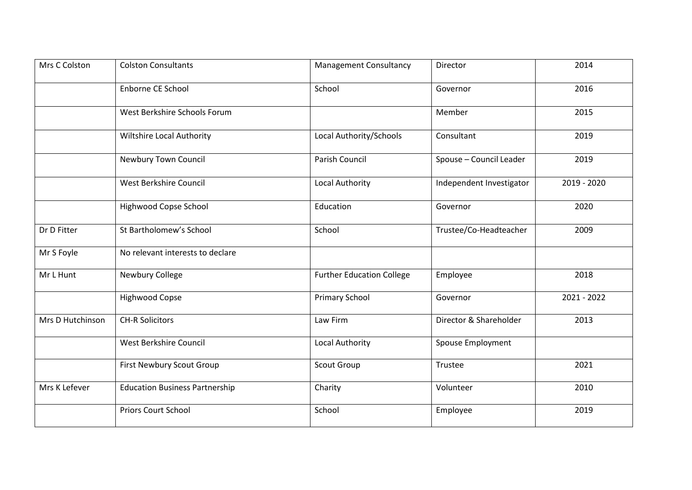| Mrs C Colston    | <b>Colston Consultants</b>            | <b>Management Consultancy</b>    | Director                 | 2014        |
|------------------|---------------------------------------|----------------------------------|--------------------------|-------------|
|                  | Enborne CE School                     | School                           | Governor                 | 2016        |
|                  | West Berkshire Schools Forum          |                                  | Member                   | 2015        |
|                  | Wiltshire Local Authority             | Local Authority/Schools          | Consultant               | 2019        |
|                  | Newbury Town Council                  | Parish Council                   | Spouse - Council Leader  | 2019        |
|                  | West Berkshire Council                | Local Authority                  | Independent Investigator | 2019 - 2020 |
|                  | Highwood Copse School                 | Education                        | Governor                 | 2020        |
| Dr D Fitter      | St Bartholomew's School               | School                           | Trustee/Co-Headteacher   | 2009        |
| Mr S Foyle       | No relevant interests to declare      |                                  |                          |             |
| Mr L Hunt        | Newbury College                       | <b>Further Education College</b> | Employee                 | 2018        |
|                  | <b>Highwood Copse</b>                 | <b>Primary School</b>            | Governor                 | 2021 - 2022 |
| Mrs D Hutchinson | <b>CH-R Solicitors</b>                | Law Firm                         | Director & Shareholder   | 2013        |
|                  | West Berkshire Council                | Local Authority                  | Spouse Employment        |             |
|                  | First Newbury Scout Group             | Scout Group                      | Trustee                  | 2021        |
| Mrs K Lefever    | <b>Education Business Partnership</b> | Charity                          | Volunteer                | 2010        |
|                  | Priors Court School                   | School                           | Employee                 | 2019        |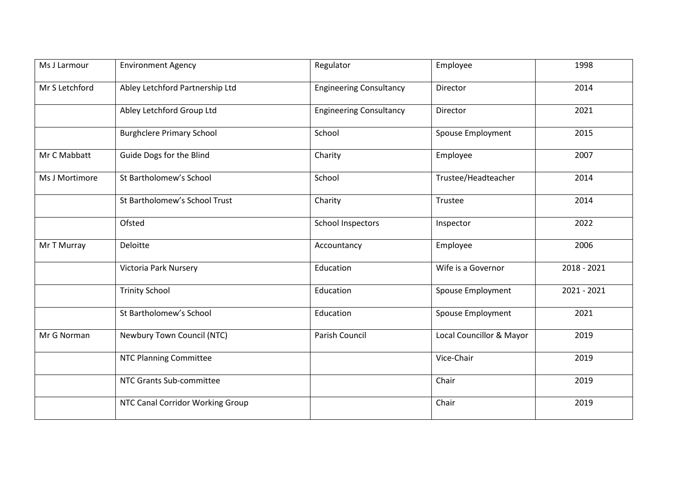| Ms J Larmour   | <b>Environment Agency</b>        | Regulator                      | Employee                 | 1998        |
|----------------|----------------------------------|--------------------------------|--------------------------|-------------|
| Mr S Letchford | Abley Letchford Partnership Ltd  | <b>Engineering Consultancy</b> | Director                 | 2014        |
|                | Abley Letchford Group Ltd        | <b>Engineering Consultancy</b> | Director                 | 2021        |
|                | <b>Burghclere Primary School</b> | School                         | <b>Spouse Employment</b> | 2015        |
| Mr C Mabbatt   | Guide Dogs for the Blind         | Charity                        | Employee                 | 2007        |
| Ms J Mortimore | St Bartholomew's School          | School                         | Trustee/Headteacher      | 2014        |
|                | St Bartholomew's School Trust    | Charity                        | Trustee                  | 2014        |
|                | Ofsted                           | <b>School Inspectors</b>       | Inspector                | 2022        |
| Mr T Murray    | Deloitte                         | Accountancy                    | Employee                 | 2006        |
|                | Victoria Park Nursery            | Education                      | Wife is a Governor       | 2018 - 2021 |
|                | <b>Trinity School</b>            | Education                      | <b>Spouse Employment</b> | 2021 - 2021 |
|                | St Bartholomew's School          | Education                      | Spouse Employment        | 2021        |
| Mr G Norman    | Newbury Town Council (NTC)       | Parish Council                 | Local Councillor & Mayor | 2019        |
|                | <b>NTC Planning Committee</b>    |                                | Vice-Chair               | 2019        |
|                | NTC Grants Sub-committee         |                                | Chair                    | 2019        |
|                | NTC Canal Corridor Working Group |                                | Chair                    | 2019        |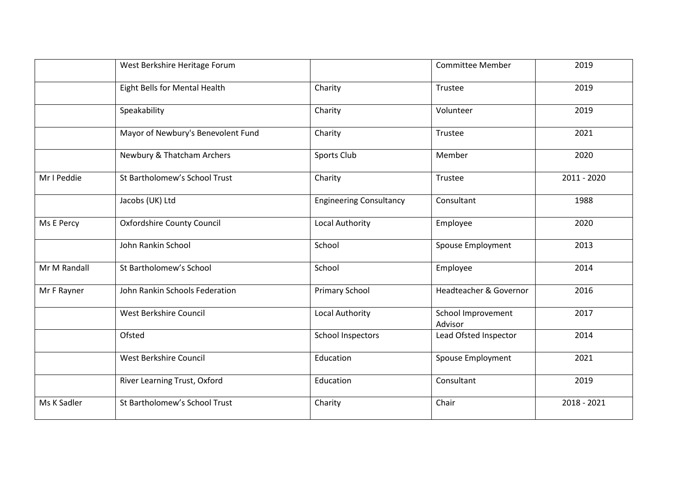|              | West Berkshire Heritage Forum      |                                | <b>Committee Member</b>       | 2019        |
|--------------|------------------------------------|--------------------------------|-------------------------------|-------------|
|              | Eight Bells for Mental Health      | Charity                        | Trustee                       | 2019        |
|              | Speakability                       | Charity                        | Volunteer                     | 2019        |
|              | Mayor of Newbury's Benevolent Fund | Charity                        | Trustee                       | 2021        |
|              | Newbury & Thatcham Archers         | Sports Club                    | Member                        | 2020        |
| Mr I Peddie  | St Bartholomew's School Trust      | Charity                        | Trustee                       | 2011 - 2020 |
|              | Jacobs (UK) Ltd                    | <b>Engineering Consultancy</b> | Consultant                    | 1988        |
| Ms E Percy   | <b>Oxfordshire County Council</b>  | Local Authority                | Employee                      | 2020        |
|              | John Rankin School                 | School                         | Spouse Employment             | 2013        |
| Mr M Randall | St Bartholomew's School            | School                         | Employee                      | 2014        |
| Mr F Rayner  | John Rankin Schools Federation     | <b>Primary School</b>          | Headteacher & Governor        | 2016        |
|              | West Berkshire Council             | Local Authority                | School Improvement<br>Advisor | 2017        |
|              | Ofsted                             | <b>School Inspectors</b>       | Lead Ofsted Inspector         | 2014        |
|              | West Berkshire Council             | Education                      | Spouse Employment             | 2021        |
|              | River Learning Trust, Oxford       | Education                      | Consultant                    | 2019        |
| Ms K Sadler  | St Bartholomew's School Trust      | Charity                        | Chair                         | 2018 - 2021 |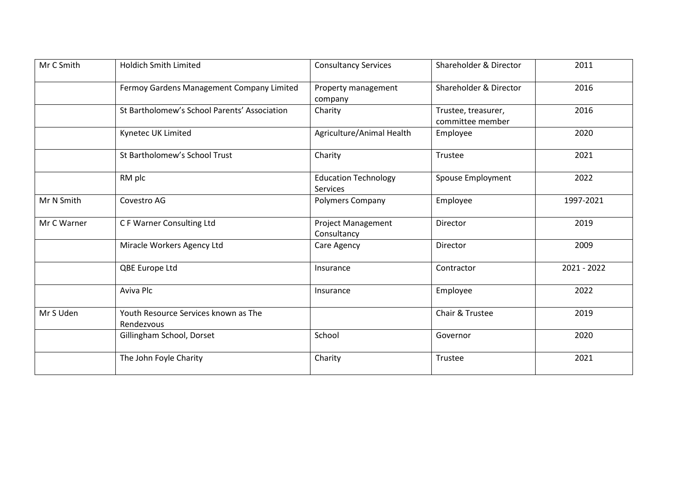| Mr C Smith  | <b>Holdich Smith Limited</b>                       | <b>Consultancy Services</b>              | Shareholder & Director                  | 2011        |
|-------------|----------------------------------------------------|------------------------------------------|-----------------------------------------|-------------|
|             | Fermoy Gardens Management Company Limited          | Property management<br>company           | Shareholder & Director                  | 2016        |
|             | St Bartholomew's School Parents' Association       | Charity                                  | Trustee, treasurer,<br>committee member | 2016        |
|             | Kynetec UK Limited                                 | Agriculture/Animal Health                | Employee                                | 2020        |
|             | St Bartholomew's School Trust                      | Charity                                  | Trustee                                 | 2021        |
|             | RM plc                                             | <b>Education Technology</b><br>Services  | <b>Spouse Employment</b>                | 2022        |
| Mr N Smith  | Covestro AG                                        | <b>Polymers Company</b>                  | Employee                                | 1997-2021   |
| Mr C Warner | C F Warner Consulting Ltd                          | <b>Project Management</b><br>Consultancy | Director                                | 2019        |
|             | Miracle Workers Agency Ltd                         | Care Agency                              | Director                                | 2009        |
|             | QBE Europe Ltd                                     | Insurance                                | Contractor                              | 2021 - 2022 |
|             | Aviva Plc                                          | Insurance                                | Employee                                | 2022        |
| Mr S Uden   | Youth Resource Services known as The<br>Rendezvous |                                          | Chair & Trustee                         | 2019        |
|             | Gillingham School, Dorset                          | School                                   | Governor                                | 2020        |
|             | The John Foyle Charity                             | Charity                                  | Trustee                                 | 2021        |